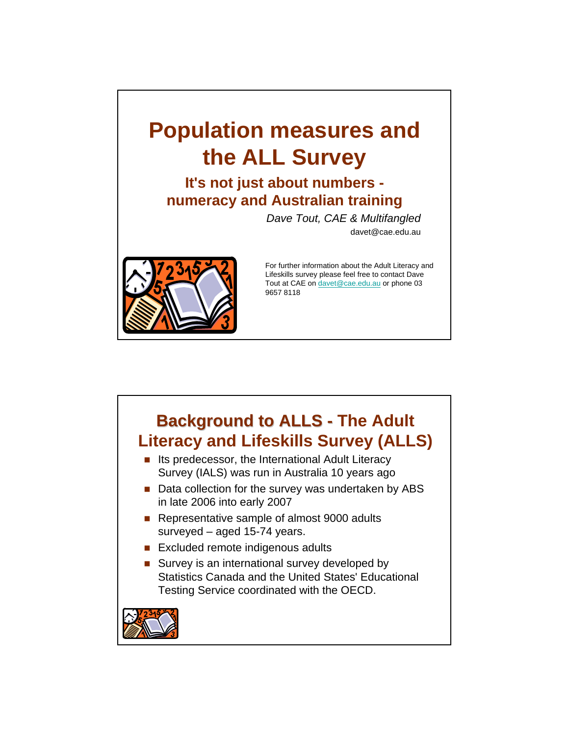# **Population measures and the ALL Survey**

**It's not just about numbers numeracy and Australian training** 

*Dave Tout, CAE & Multifangled*

davet@cae.edu.au



For further information about the Adult Literacy and Lifeskills survey please feel free to contact Dave Tout at CAE on davet@cae.edu.au or phone 03 9657 8118

### **Background to ALLS - The Adult Literacy and Lifeskills Survey (ALLS)**   $\blacksquare$  Its predecessor, the International Adult Literacy Survey (IALS) was run in Australia 10 years ago ■ Data collection for the survey was undertaken by ABS in late 2006 into early 2007 ■ Representative sample of almost 9000 adults surveyed – aged 15-74 years.

- Excluded remote indigenous adults
- Survey is an international survey developed by Statistics Canada and the United States' Educational Testing Service coordinated with the OECD.

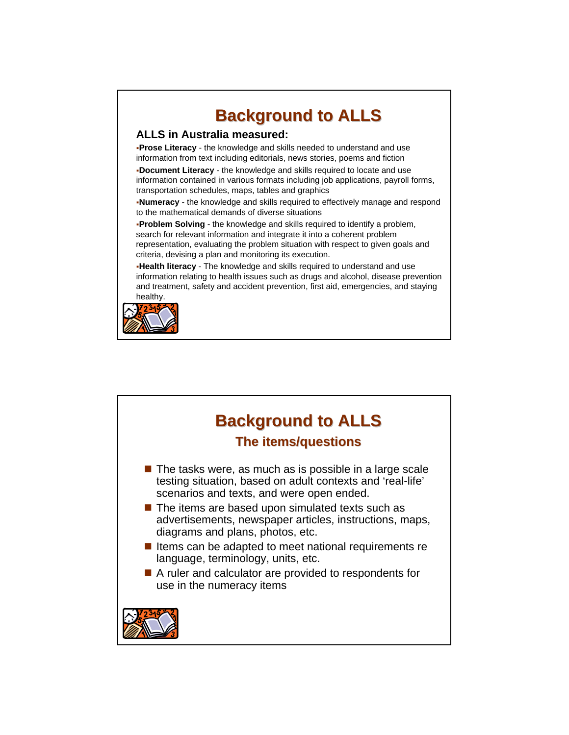

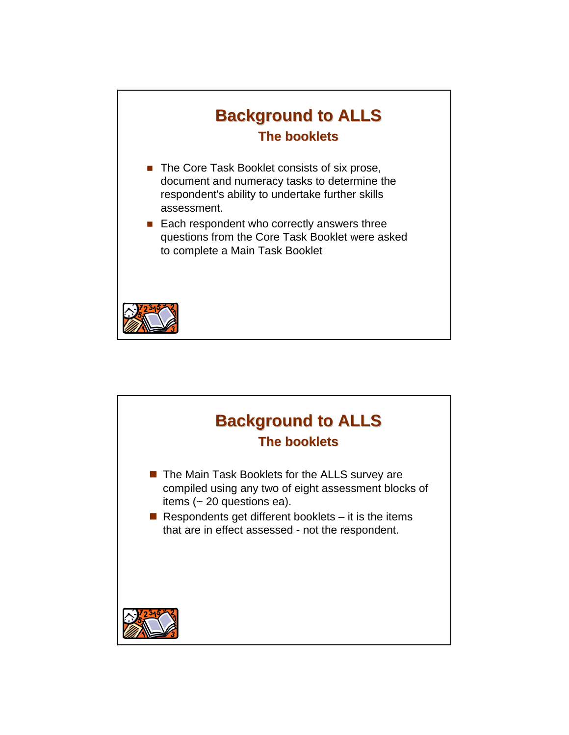

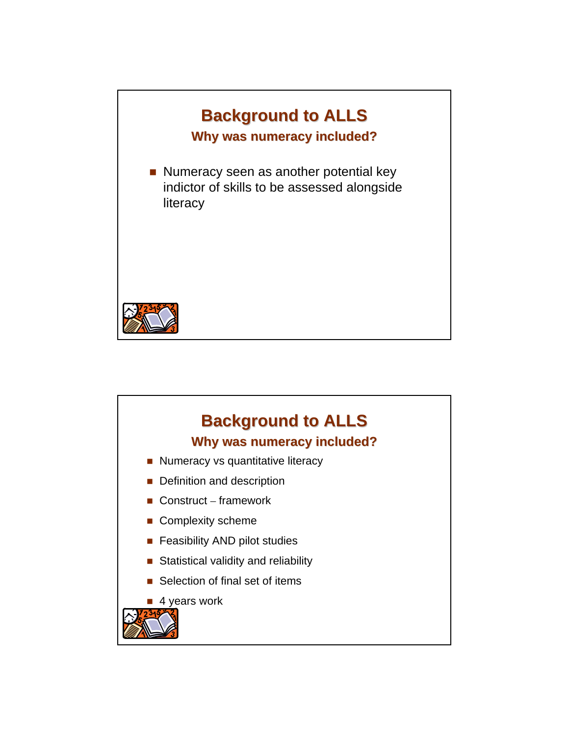

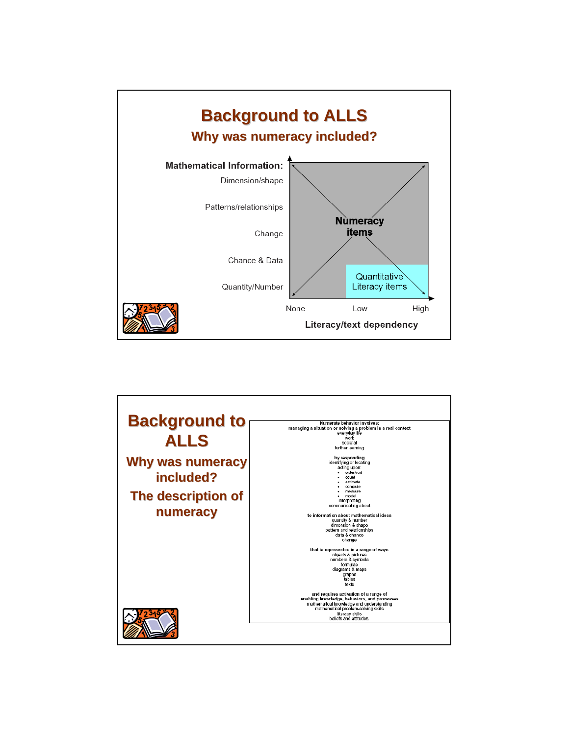

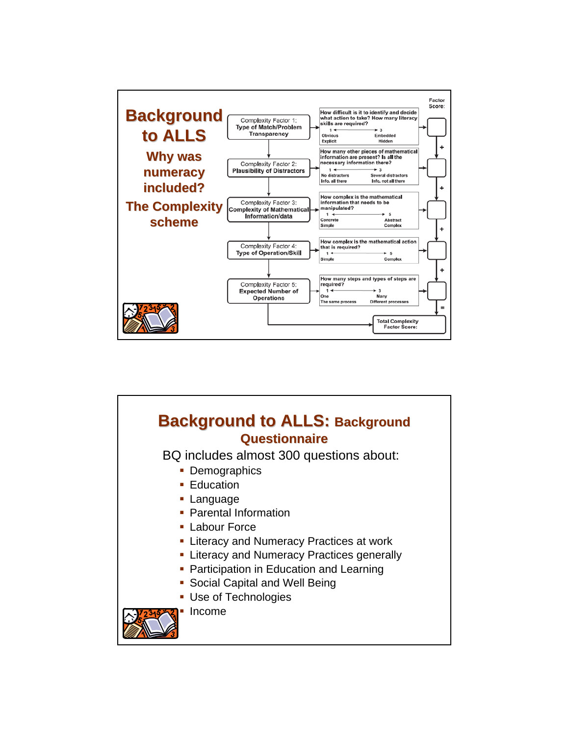

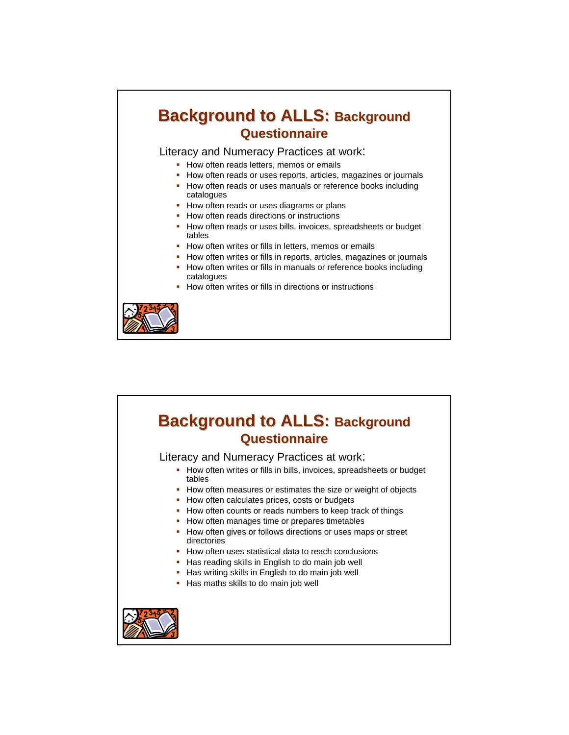### **Background to ALLS: Background Questionnaire Questionnaire**

Literacy and Numeracy Practices at work:

- How often reads letters, memos or emails
- How often reads or uses reports, articles, magazines or journals
- How often reads or uses manuals or reference books including catalogues
- How often reads or uses diagrams or plans
- How often reads directions or instructions
- How often reads or uses bills, invoices, spreadsheets or budget tables
- **How often writes or fills in letters, memos or emails**
- How often writes or fills in reports, articles, magazines or journals **How often writes or fills in manuals or reference books including**
- catalogues
- **How often writes or fills in directions or instructions**



### **Background to ALLS: Background Questionnaire Questionnaire** Literacy and Numeracy Practices at work: • How often writes or fills in bills, invoices, spreadsheets or budget tables • How often measures or estimates the size or weight of objects • How often calculates prices, costs or budgets • How often counts or reads numbers to keep track of things • How often manages time or prepares timetables • How often gives or follows directions or uses maps or street directories **How often uses statistical data to reach conclusions** Has reading skills in English to do main job well Has writing skills in English to do main job well Has maths skills to do main job well

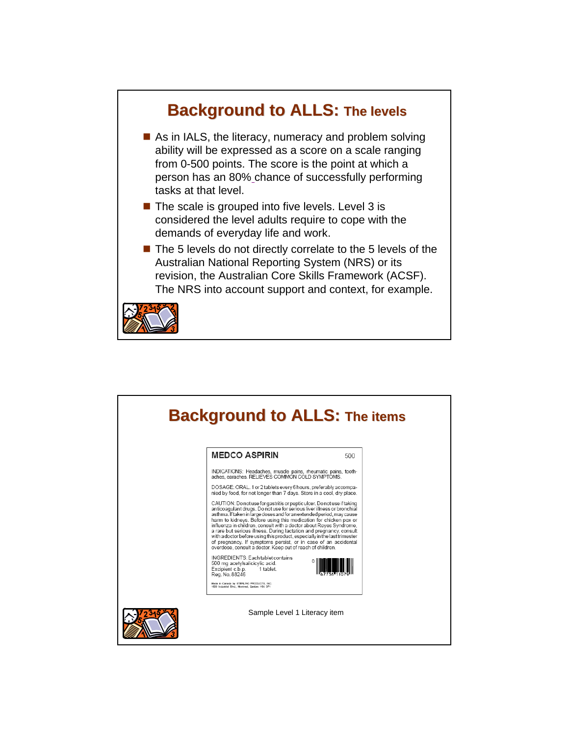

| <b>MEDCO ASPIRIN</b>                                                                                                                                                                                                                                                                                                                                                                                                                                                                                                                                                                                                                                     | 500 |
|----------------------------------------------------------------------------------------------------------------------------------------------------------------------------------------------------------------------------------------------------------------------------------------------------------------------------------------------------------------------------------------------------------------------------------------------------------------------------------------------------------------------------------------------------------------------------------------------------------------------------------------------------------|-----|
| INDICATIONS: Headaches, muscle pains, rheumatic pains, tooth-<br>aches, earaches. RELIEVES COMMON COLD SYMPTOMS.                                                                                                                                                                                                                                                                                                                                                                                                                                                                                                                                         |     |
| DOSAGE: ORAL. 1 or 2 tablets every 6 hours, preferably accompa-<br>nied by food, for not longer than 7 days. Store in a cool, dry place.                                                                                                                                                                                                                                                                                                                                                                                                                                                                                                                 |     |
| CAUTION: Do not use for gastritis or peptic ulcer. Do not use if taking<br>anticoagulant drugs. Do not use for serious liver illness or bronchial<br>asthma. If taken in large doses and for an extended period, may cause<br>harm to kidneys. Before using this medication for chicken pox or<br>influenza in children, consult with a doctor about Reyes Syndrome,<br>a rare but serious illness. During lactation and pregnancy, consult<br>with a doctor before using this product, especially in the last trimester<br>of pregnancy. If symptoms persist, or in case of an accidental<br>overdose, consult a doctor. Keep out of reach of children. |     |
| INGREDIENTS: Each tablet contains<br>500 mg acetylsalicicylic acid.<br>Excipient c.b.p.<br>1 tablet.<br>Reg. No. 88246                                                                                                                                                                                                                                                                                                                                                                                                                                                                                                                                   |     |
| Made in Canada by STERLING PRODUCTS. INC.<br>1600 Industrial Blvd., Montreal, Quebec H9J 3P1                                                                                                                                                                                                                                                                                                                                                                                                                                                                                                                                                             |     |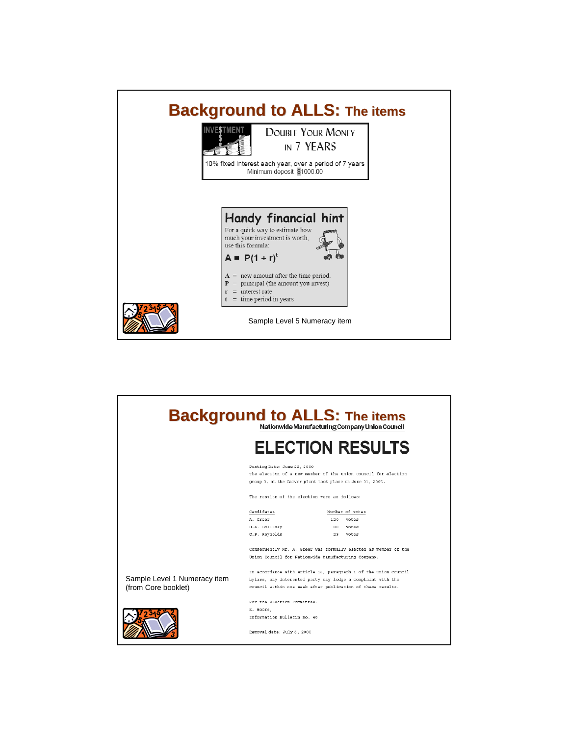

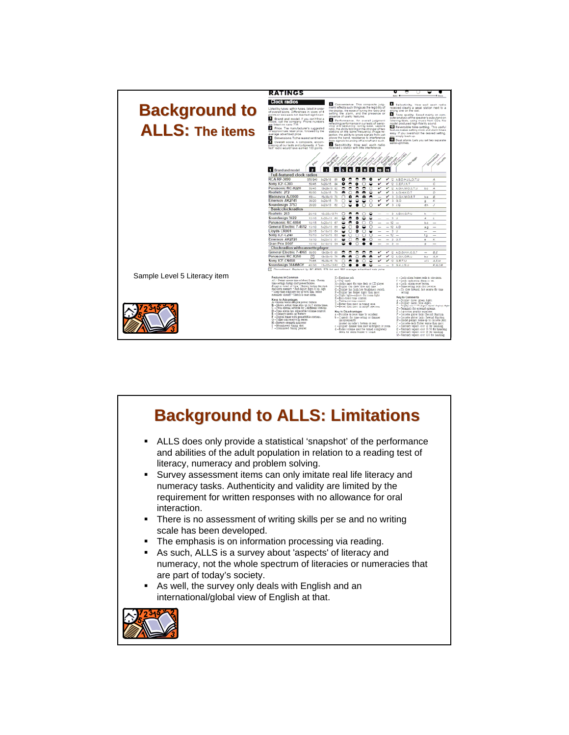

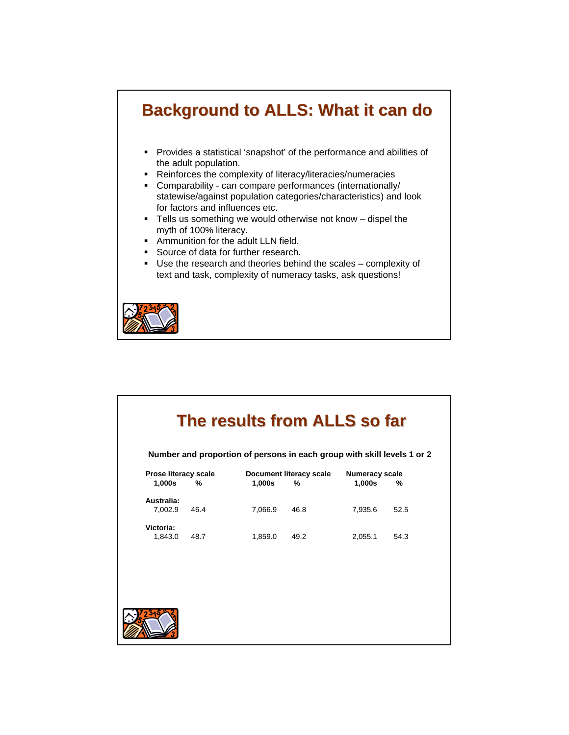# **Background to ALLS: What it can do Background to ALLS: What it can do**

- Provides a statistical 'snapshot' of the performance and abilities of the adult population.
- Reinforces the complexity of literacy/literacies/numeracies
- Comparability can compare performances (internationally/ statewise/against population categories/characteristics) and look for factors and influences etc.
- Tells us something we would otherwise not know dispel the myth of 100% literacy.
- **Ammunition for the adult LLN field.**
- Source of data for further research.
- Use the research and theories behind the scales complexity of text and task, complexity of numeracy tasks, ask questions!



| The results from ALLS so far<br>Number and proportion of persons in each group with skill levels 1 or 2 |      |         |                              |                                 |      |  |  |
|---------------------------------------------------------------------------------------------------------|------|---------|------------------------------|---------------------------------|------|--|--|
| Prose literacy scale<br>1,000s                                                                          | %    | 1,000s  | Document literacy scale<br>% | <b>Numeracy scale</b><br>1,000s | %    |  |  |
| Australia:<br>7,002.9                                                                                   | 46.4 | 7,066.9 | 46.8                         | 7,935.6                         | 52.5 |  |  |
| Victoria:<br>1,843.0                                                                                    | 48.7 | 1,859.0 | 49.2                         | 2,055.1                         | 54.3 |  |  |
|                                                                                                         |      |         |                              |                                 |      |  |  |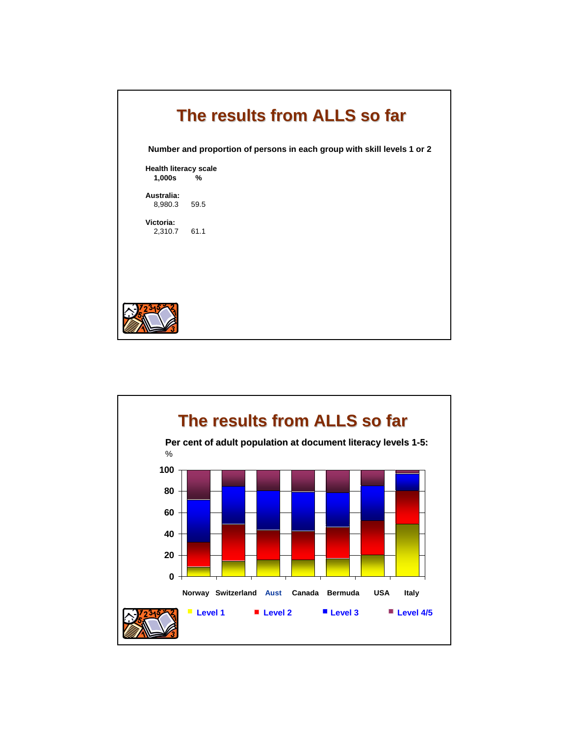| The results from ALLS so far<br>Number and proportion of persons in each group with skill levels 1 or 2 |      |  |  |  |
|---------------------------------------------------------------------------------------------------------|------|--|--|--|
| <b>Health literacy scale</b>                                                                            |      |  |  |  |
| 1,000s                                                                                                  | %    |  |  |  |
| Australia:<br>8,980.3                                                                                   | 59.5 |  |  |  |
| Victoria:<br>2,310.7                                                                                    | 61.1 |  |  |  |
|                                                                                                         |      |  |  |  |

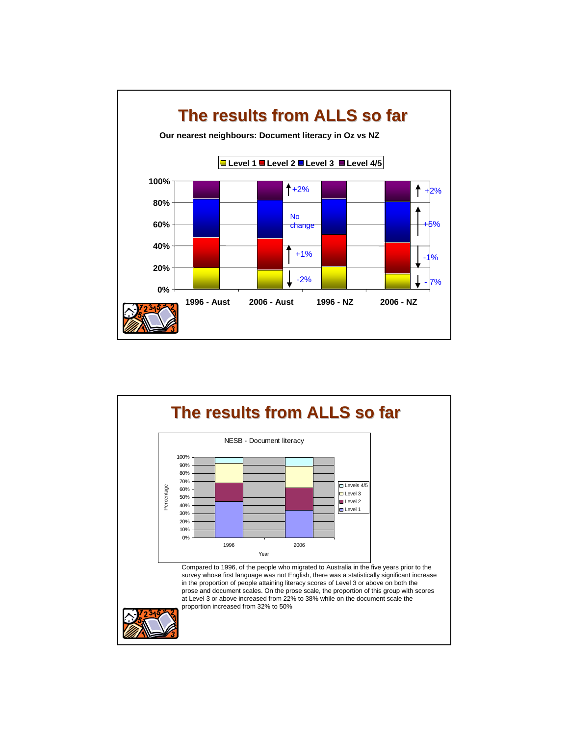

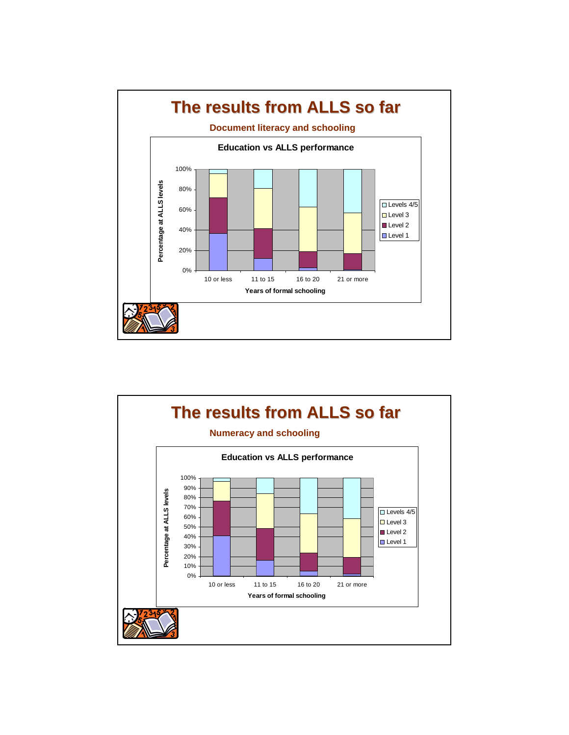

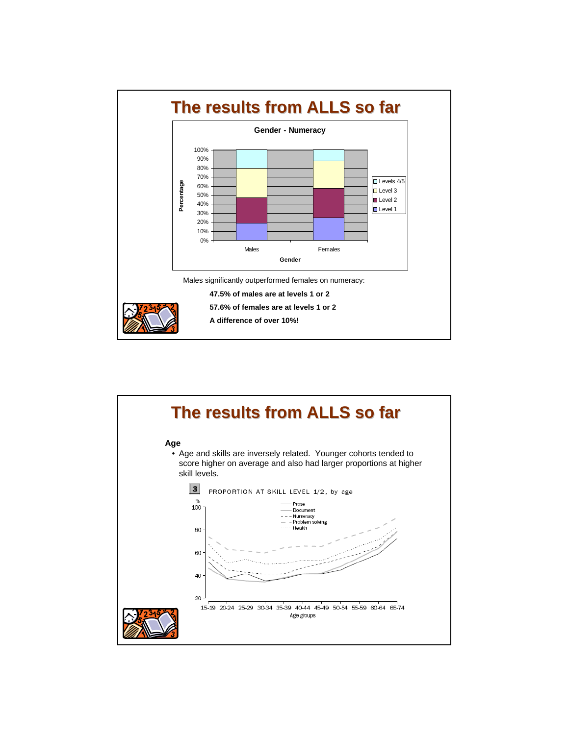

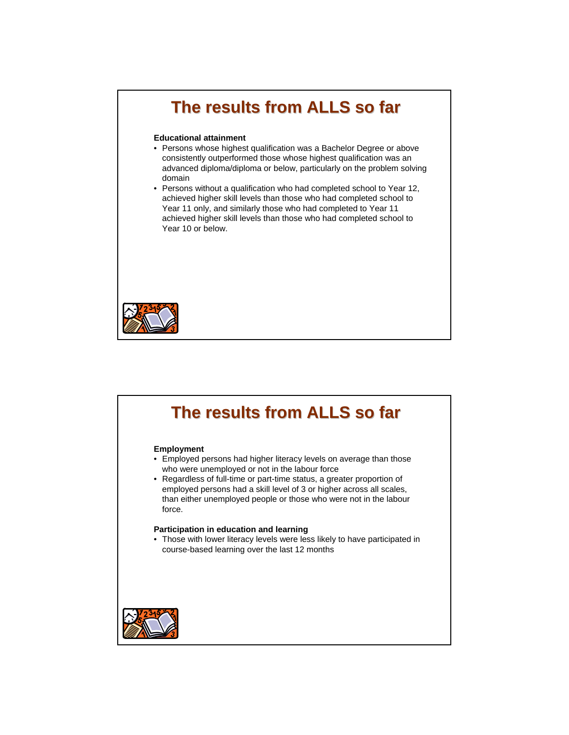# **The results from ALLS so far The results from ALLS so far**

#### **Educational attainment**

- Persons whose highest qualification was a Bachelor Degree or above consistently outperformed those whose highest qualification was an advanced diploma/diploma or below, particularly on the problem solving domain
- Persons without a qualification who had completed school to Year 12, achieved higher skill levels than those who had completed school to Year 11 only, and similarly those who had completed to Year 11 achieved higher skill levels than those who had completed school to Year 10 or below.



# **The results from ALLS so far The results from ALLS so far Employment**  • Employed persons had higher literacy levels on average than those who were unemployed or not in the labour force • Regardless of full-time or part-time status, a greater proportion of employed persons had a skill level of 3 or higher across all scales, than either unemployed people or those who were not in the labour force. **Participation in education and learning**  • Those with lower literacy levels were less likely to have participated in course-based learning over the last 12 months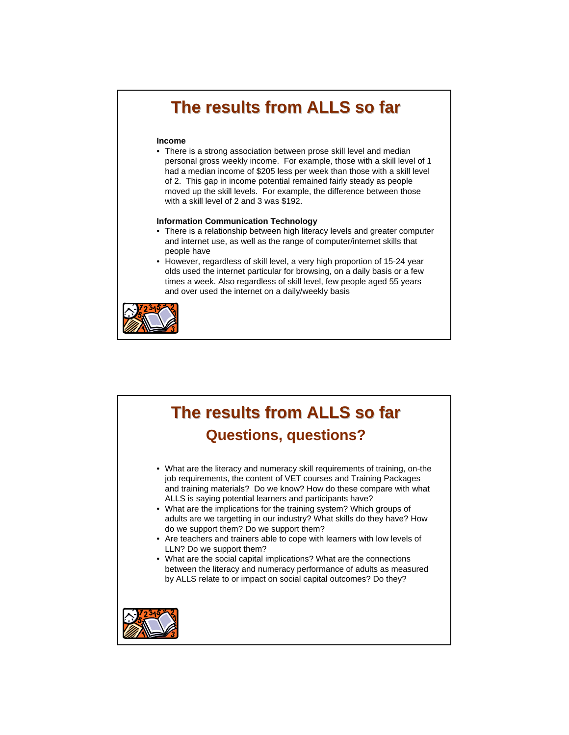# **The results from ALLS so far The results from ALLS so far**

#### **Income**

• There is a strong association between prose skill level and median personal gross weekly income. For example, those with a skill level of 1 had a median income of \$205 less per week than those with a skill level of 2. This gap in income potential remained fairly steady as people moved up the skill levels. For example, the difference between those with a skill level of 2 and 3 was \$192.

#### **Information Communication Technology**

- There is a relationship between high literacy levels and greater computer and internet use, as well as the range of computer/internet skills that people have
- However, regardless of skill level, a very high proportion of 15-24 year olds used the internet particular for browsing, on a daily basis or a few times a week. Also regardless of skill level, few people aged 55 years and over used the internet on a daily/weekly basis



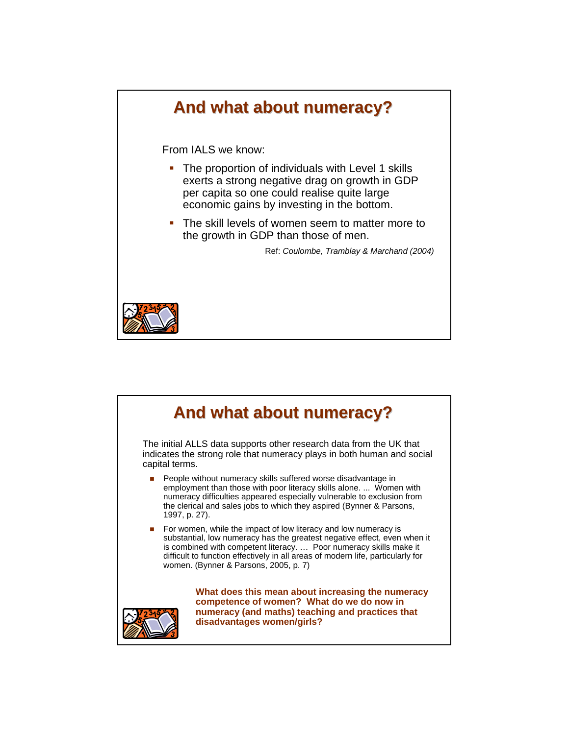

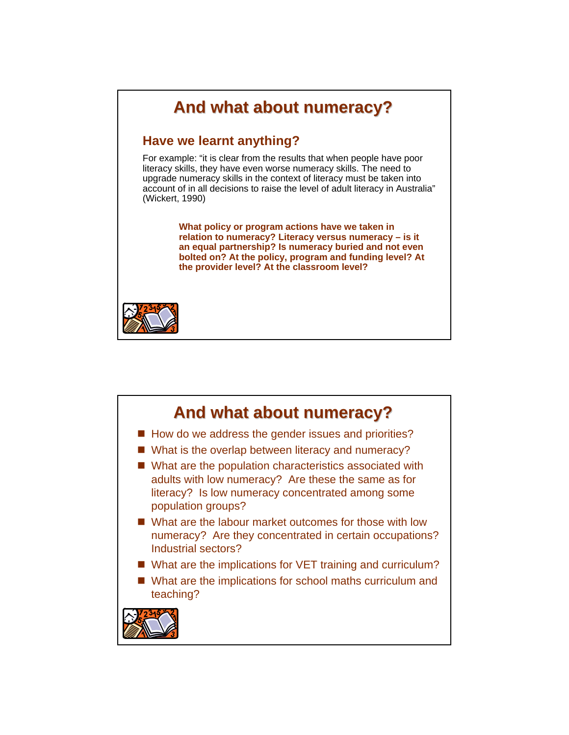

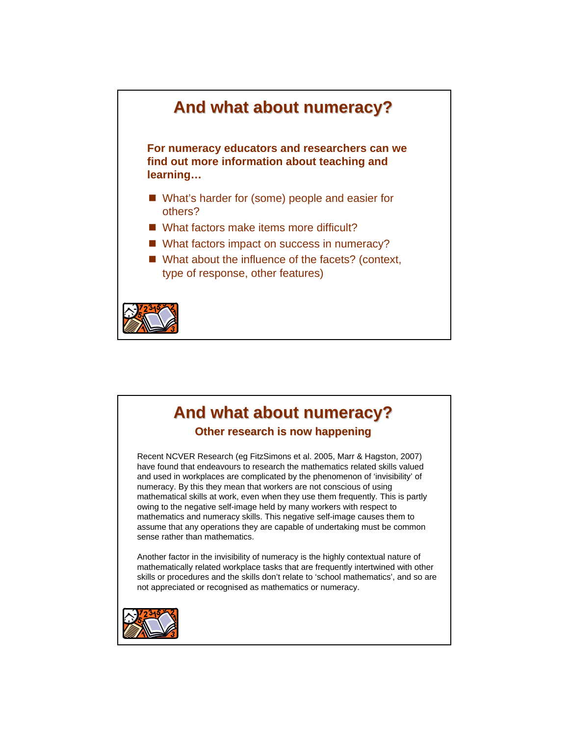

### **And what about numeracy? And what about numeracy?**

**Other research is now happening**

Recent NCVER Research (eg FitzSimons et al. 2005, Marr & Hagston, 2007) have found that endeavours to research the mathematics related skills valued and used in workplaces are complicated by the phenomenon of 'invisibility' of numeracy. By this they mean that workers are not conscious of using mathematical skills at work, even when they use them frequently. This is partly owing to the negative self-image held by many workers with respect to mathematics and numeracy skills. This negative self-image causes them to assume that any operations they are capable of undertaking must be common sense rather than mathematics.

Another factor in the invisibility of numeracy is the highly contextual nature of mathematically related workplace tasks that are frequently intertwined with other skills or procedures and the skills don't relate to 'school mathematics', and so are not appreciated or recognised as mathematics or numeracy.